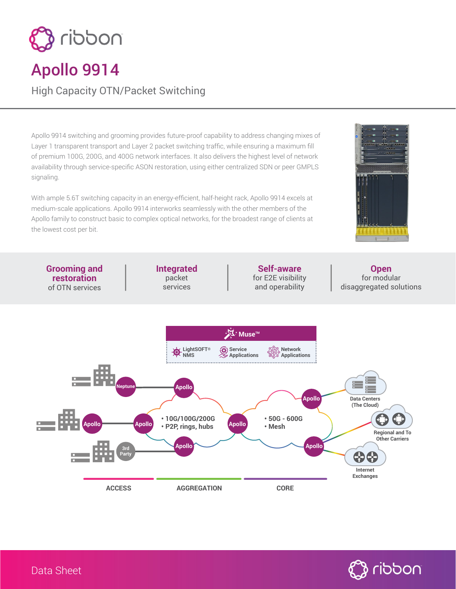

# Apollo 9914

High Capacity OTN/Packet Switching

Apollo 9914 switching and grooming provides future-proof capability to address changing mixes of Layer 1 transparent transport and Layer 2 packet switching traffic, while ensuring a maximum fill of premium 100G, 200G, and 400G network interfaces. It also delivers the highest level of network availability through service-specific ASON restoration, using either centralized SDN or peer GMPLS signaling.

With ample 5.6T switching capacity in an energy-efficient, half-height rack, Apollo 9914 excels at medium-scale applications. Apollo 9914 interworks seamlessly with the other members of the Apollo family to construct basic to complex optical networks, for the broadest range of clients at the lowest cost per bit.



**Grooming and Integrated Self-aware Open** packet for E2E visibility for modular **restoration** services and operability disaggregated solutions of OTN services **Muse**™ **G**) Service **Network LightSOFT® Applications Applications NMS** Ļ. **Neptune Apollo Apollo Data Centers (The Cloud)** O **• 10G/100G/200G • 50G - 600G** D. **Apollo Apollo Apollo • P2P, rings, hubs • Mesh Regional and To Other Carriers Apollo Apollo 3rd Party 44** 

**ACCESS AGGREGATION CORE**



**Internet Exchanges**